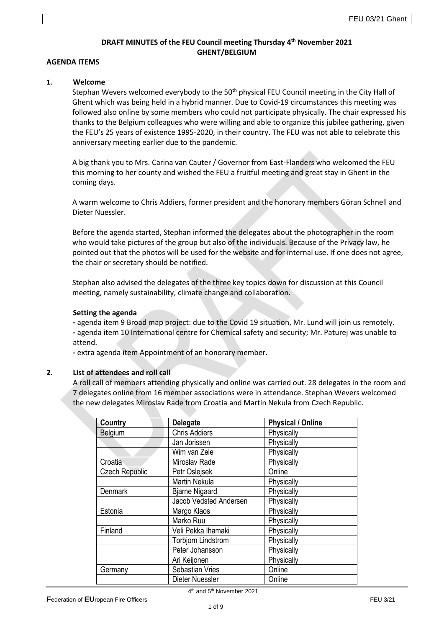# **DRAFT MINUTES of the FEU Council meeting Thursday 4 th November 2021 GHENT/BELGIUM**

#### **AGENDA ITEMS**

#### **1. Welcome**

Stephan Wevers welcomed everybody to the 50<sup>th</sup> physical FEU Council meeting in the City Hall of Ghent which was being held in a hybrid manner. Due to Covid-19 circumstances this meeting was followed also online by some members who could not participate physically. The chair expressed his thanks to the Belgium colleagues who were willing and able to organize this jubilee gathering, given the FEU's 25 years of existence 1995-2020, in their country. The FEU was not able to celebrate this anniversary meeting earlier due to the pandemic.

A big thank you to Mrs. Carina van Cauter / Governor from East-Flanders who welcomed the FEU this morning to her county and wished the FEU a fruitful meeting and great stay in Ghent in the coming days.

A warm welcome to Chris Addiers, former president and the honorary members Göran Schnell and Dieter Nuessler.

Before the agenda started, Stephan informed the delegates about the photographer in the room who would take pictures of the group but also of the individuals. Because of the Privacy law, he pointed out that the photos will be used for the website and for internal use. If one does not agree, the chair or secretary should be notified.

Stephan also advised the delegates of the three key topics down for discussion at this Council meeting, namely sustainability, climate change and collaboration.

#### **Setting the agenda**

**-** agenda item 9 Broad map project: due to the Covid 19 situation, Mr. Lund will join us remotely. **-** agenda item 10 International centre for Chemical safety and security; Mr. Paturej was unable to attend.

**-** extra agenda item Appointment of an honorary member.

# **2. List of attendees and roll call**

A roll call of members attending physically and online was carried out. 28 delegates in the room and 7 delegates online from 16 member associations were in attendance. Stephan Wevers welcomed the new delegates Miroslav Rade from Croatia and Martin Nekula from Czech Republic.

| Country               | <b>Delegate</b>               | <b>Physical / Online</b> |
|-----------------------|-------------------------------|--------------------------|
| Belgium               | <b>Chris Addiers</b>          | Physically               |
|                       | Jan Jorissen                  | Physically               |
|                       | Wim van Zele                  | Physically               |
| Croatia               | Miroslav Rade                 | Physically               |
| <b>Czech Republic</b> | Petr Oslejsek                 | Online                   |
|                       | <b>Martin Nekula</b>          | Physically               |
| <b>Denmark</b>        | <b>Bjarne Nigaard</b>         | Physically               |
|                       | <b>Jacob Vedsted Andersen</b> | Physically               |
| Estonia               | Margo Klaos                   | Physically               |
|                       | Marko Ruu                     | Physically               |
| Finland               | Veli Pekka Ihamaki            | Physically               |
|                       | <b>Torbjorn Lindstrom</b>     | Physically               |
|                       | Peter Johansson               | Physically               |
|                       | Ari Keijonen                  | Physically               |
| Germany               | <b>Sebastian Vries</b>        | Online                   |
|                       | Dieter Nuessler               | Online                   |

4<sup>th</sup> and 5<sup>th</sup> November 2021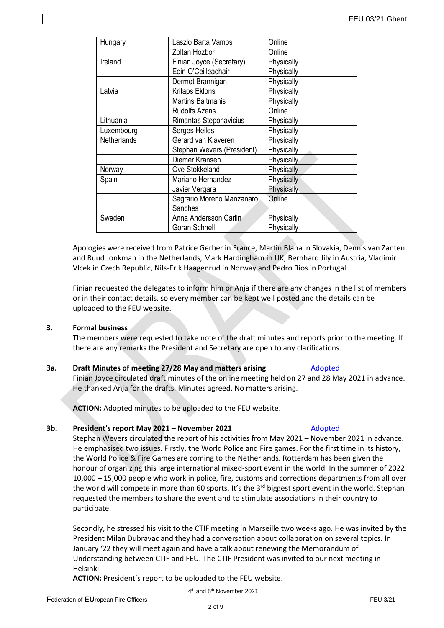| Hungary     | Laszlo Barta Vamos         | Online     |
|-------------|----------------------------|------------|
|             | Zoltan Hozbor              | Online     |
| Ireland     | Finian Joyce (Secretary)   | Physically |
|             | Eoin O'Ceilleachair        | Physically |
|             | Dermot Brannigan           | Physically |
| Latvia      | <b>Kritaps Eklons</b>      | Physically |
|             | <b>Martins Baltmanis</b>   | Physically |
|             | <b>Rudolfs Azens</b>       | Online     |
| Lithuania   | Rimantas Steponavicius     | Physically |
| Luxembourg  | Serges Heiles              | Physically |
| Netherlands | Gerard van Klaveren        | Physically |
|             | Stephan Wevers (President) | Physically |
|             | Diemer Kransen             | Physically |
| Norway      | Ove Stokkeland             | Physically |
| Spain       | Mariano Hernandez          | Physically |
|             | Javier Vergara             | Physically |
|             | Sagrario Moreno Manzanaro  | Online     |
|             | Sanches                    |            |
| Sweden      | Anna Andersson Carlin      | Physically |
|             | Goran Schnell              | Physically |
|             |                            |            |

Apologies were received from Patrice Gerber in France, Martin Blaha in Slovakia, Dennis van Zanten and Ruud Jonkman in the Netherlands, Mark Hardingham in UK, Bernhard Jily in Austria, Vladimir Vlcek in Czech Republic, Nils-Erik Haagenrud in Norway and Pedro Rios in Portugal.

Finian requested the delegates to inform him or Anja if there are any changes in the list of members or in their contact details, so every member can be kept well posted and the details can be uploaded to the FEU website.

# **3. Formal business**

The members were requested to take note of the draft minutes and reports prior to the meeting. If there are any remarks the President and Secretary are open to any clarifications.

# **3a. Draft Minutes of meeting 27/28 May and matters arising** Adopted

Finian Joyce circulated draft minutes of the online meeting held on 27 and 28 May 2021 in advance. He thanked Anja for the drafts. Minutes agreed. No matters arising.

**ACTION:** Adopted minutes to be uploaded to the FEU website.

# **3b. President's report May 2021 – November 2021** Adopted

# Stephan Wevers circulated the report of his activities from May 2021 – November 2021 in advance. He emphasised two issues. Firstly, the World Police and Fire games. For the first time in its history, the World Police & Fire Games are coming to the Netherlands. Rotterdam has been given the honour of organizing this large international mixed-sport event in the world. In the summer of 2022 10,000 – 15,000 people who work in police, fire, customs and corrections departments from all over the world will compete in more than 60 sports. It's the  $3<sup>rd</sup>$  biggest sport event in the world. Stephan requested the members to share the event and to stimulate associations in their country to participate.

Secondly, he stressed his visit to the CTIF meeting in Marseille two weeks ago. He was invited by the President Milan Dubravac and they had a conversation about collaboration on several topics. In January '22 they will meet again and have a talk about renewing the Memorandum of Understanding between CTIF and FEU. The CTIF President was invited to our next meeting in Helsinki.

**ACTION:** President's report to be uploaded to the FEU website.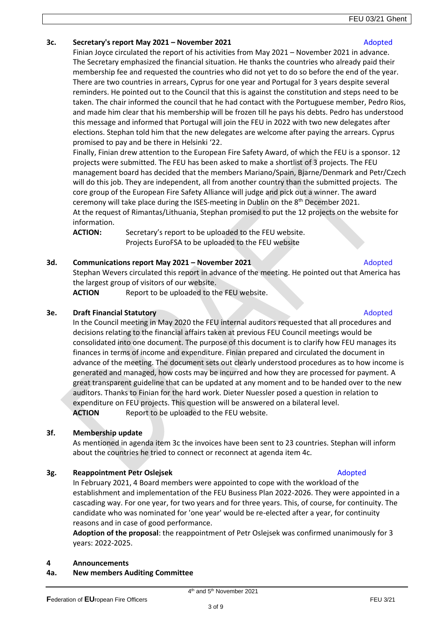# **3c. Secretary's report May 2021 – November 2021** Adopted

Finian Joyce circulated the report of his activities from May 2021 – November 2021 in advance. The Secretary emphasized the financial situation. He thanks the countries who already paid their membership fee and requested the countries who did not yet to do so before the end of the year. There are two countries in arrears, Cyprus for one year and Portugal for 3 years despite several reminders. He pointed out to the Council that this is against the constitution and steps need to be taken. The chair informed the council that he had contact with the Portuguese member, Pedro Rios, and made him clear that his membership will be frozen till he pays his debts. Pedro has understood this message and informed that Portugal will join the FEU in 2022 with two new delegates after elections. Stephan told him that the new delegates are welcome after paying the arrears. Cyprus promised to pay and be there in Helsinki '22.

Finally, Finian drew attention to the European Fire Safety Award, of which the FEU is a sponsor. 12 projects were submitted. The FEU has been asked to make a shortlist of 3 projects. The FEU management board has decided that the members Mariano/Spain, Bjarne/Denmark and Petr/Czech will do this job. They are independent, all from another country than the submitted projects. The core group of the European Fire Safety Alliance will judge and pick out a winner. The award ceremony will take place during the ISES-meeting in Dublin on the 8th December 2021. At the request of Rimantas/Lithuania, Stephan promised to put the 12 projects on the website for information.

**ACTION:** Secretary's report to be uploaded to the FEU website. Projects EuroFSA to be uploaded to the FEU website

# **3d. Communications report May 2021 – November 2021** Adopted

Stephan Wevers circulated this report in advance of the meeting. He pointed out that America has the largest group of visitors of our website.

**ACTION** Report to be uploaded to the FEU website.

#### **3e. Draft Financial Statutory <b>Adopted Adopted Adopted Adopted Adopted Adopted**

In the Council meeting in May 2020 the FEU internal auditors requested that all procedures and decisions relating to the financial affairs taken at previous FEU Council meetings would be consolidated into one document. The purpose of this document is to clarify how FEU manages its finances in terms of income and expenditure. Finian prepared and circulated the document in advance of the meeting. The document sets out clearly understood procedures as to how income is generated and managed, how costs may be incurred and how they are processed for payment. A great transparent guideline that can be updated at any moment and to be handed over to the new auditors. Thanks to Finian for the hard work. Dieter Nuessler posed a question in relation to expenditure on FEU projects. This question will be answered on a bilateral level. **ACTION** Report to be uploaded to the FEU website.

# **3f. Membership update**

As mentioned in agenda item 3c the invoices have been sent to 23 countries. Stephan will inform about the countries he tried to connect or reconnect at agenda item 4c.

# **3g. Reappointment Petr Oslejsek** Adopted Adopted Adopted

In February 2021, 4 Board members were appointed to cope with the workload of the establishment and implementation of the FEU Business Plan 2022-2026. They were appointed in a cascading way. For one year, for two years and for three years. This, of course, for continuity. The candidate who was nominated for 'one year' would be re-elected after a year, for continuity reasons and in case of good performance.

**Adoption of the proposal**: the reappointment of Petr Oslejsek was confirmed unanimously for 3 years: 2022-2025.

# **4 Announcements**

# **4a. New members Auditing Committee**

#### **Federation of EU**ropean Fire Officers **FEU 3/21 FEU 3/21**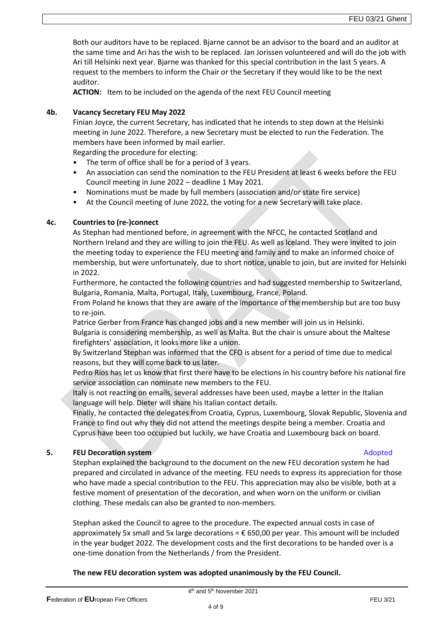Both our auditors have to be replaced. Bjarne cannot be an advisor to the board and an auditor at the same time and Ari has the wish to be replaced. Jan Jorissen volunteered and will do the job with Ari till Helsinki next year. Bjarne was thanked for this special contribution in the last 5 years. A request to the members to inform the Chair or the Secretary if they would like to be the next auditor.

**ACTION:** Item to be included on the agenda of the next FEU Council meeting

# **4b. Vacancy Secretary FEU May 2022**

Finian Joyce, the current Secretary, has indicated that he intends to step down at the Helsinki meeting in June 2022. Therefore, a new Secretary must be elected to run the Federation. The members have been informed by mail earlier.

Regarding the procedure for electing:

- The term of office shall be for a period of 3 years.
- An association can send the nomination to the FEU President at least 6 weeks before the FEU Council meeting in June 2022 – deadline 1 May 2021.
- Nominations must be made by full members (association and/or state fire service)
- At the Council meeting of June 2022, the voting for a new Secretary will take place.

# **4c. Countries to (re-)connect**

As Stephan had mentioned before, in agreement with the NFCC, he contacted Scotland and Northern Ireland and they are willing to join the FEU. As well as Iceland. They were invited to join the meeting today to experience the FEU meeting and family and to make an informed choice of membership, but were unfortunately, due to short notice, unable to join, but are invited for Helsinki in 2022.

Furthermore, he contacted the following countries and had suggested membership to Switzerland, Bulgaria, Romania, Malta, Portugal, Italy, Luxembourg, France, Poland.

From Poland he knows that they are aware of the importance of the membership but are too busy to re-join.

Patrice Gerber from France has changed jobs and a new member will join us in Helsinki. Bulgaria is considering membership, as well as Malta. But the chair is unsure about the Maltese firefighters' association, it looks more like a union.

By Switzerland Stephan was informed that the CFO is absent for a period of time due to medical reasons, but they will come back to us later.

Pedro Rios has let us know that first there have to be elections in his country before his national fire service association can nominate new members to the FEU.

Italy is not reacting on emails, several addresses have been used, maybe a letter in the Italian language will help. Dieter will share his Italian contact details.

Finally, he contacted the delegates from Croatia, Cyprus, Luxembourg, Slovak Republic, Slovenia and France to find out why they did not attend the meetings despite being a member. Croatia and Cyprus have been too occupied but luckily, we have Croatia and Luxembourg back on board.

# **5. FEU Decoration system Adopted Adopted Adopted Adopted Adopted**

Stephan explained the background to the document on the new FEU decoration system he had prepared and circulated in advance of the meeting. FEU needs to express its appreciation for those who have made a special contribution to the FEU. This appreciation may also be visible, both at a festive moment of presentation of the decoration, and when worn on the uniform or civilian clothing. These medals can also be granted to non-members.

Stephan asked the Council to agree to the procedure. The expected annual costs in case of approximately 5x small and 5x large decorations =  $\epsilon$  650,00 per year. This amount will be included in the year budget 2022. The development costs and the first decorations to be handed over is a one-time donation from the Netherlands / from the President.

**The new FEU decoration system was adopted unanimously by the FEU Council.**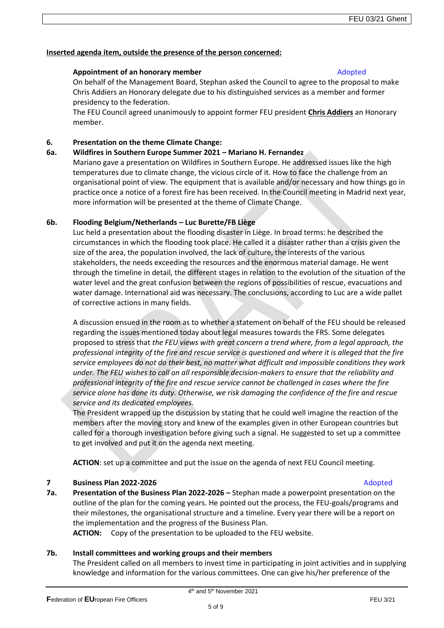# **Inserted agenda item, outside the presence of the person concerned:**

# **Appointment of an honorary member Adopted Adopted Adopted Adopted Adopted Adopted Adopted Adopted Adopted Adopted Adopted Adopted Adopted Adopted Adopted Adopted Adopted Adopted Adopted Adopted Adopted Adopted Adopted Ado**

On behalf of the Management Board, Stephan asked the Council to agree to the proposal to make Chris Addiers an Honorary delegate due to his distinguished services as a member and former presidency to the federation.

The FEU Council agreed unanimously to appoint former FEU president **Chris Addiers** an Honorary member.

# **6. Presentation on the theme Climate Change:**

# **6a. Wildfires in Southern Europe Summer 2021 – Mariano H. Fernandez**

Mariano gave a presentation on Wildfires in Southern Europe. He addressed issues like the high temperatures due to climate change, the vicious circle of it. How to face the challenge from an organisational point of view. The equipment that is available and/or necessary and how things go in practice once a notice of a forest fire has been received. In the Council meeting in Madrid next year, more information will be presented at the theme of Climate Change.

# **6b. Flooding Belgium/Netherlands – Luc Burette/FB Liège**

Luc held a presentation about the flooding disaster in Liège. In broad terms: he described the circumstances in which the flooding took place. He called it a disaster rather than a crisis given the size of the area, the population involved, the lack of culture, the interests of the various stakeholders, the needs exceeding the resources and the enormous material damage. He went through the timeline in detail, the different stages in relation to the evolution of the situation of the water level and the great confusion between the regions of possibilities of rescue, evacuations and water damage. International aid was necessary. The conclusions, according to Luc are a wide pallet of corrective actions in many fields.

A discussion ensued in the room as to whether a statement on behalf of the FEU should be released regarding the issues mentioned today about legal measures towards the FRS. Some delegates proposed to stress that *the FEU views with great concern a trend where, from a legal approach, the professional integrity of the fire and rescue service is questioned and where it is alleged that the fire service employees do not do their best, no matter what difficult and impossible conditions they work under. The FEU wishes to call on all responsible decision-makers to ensure that the reliability and professional integrity of the fire and rescue service cannot be challenged in cases where the fire service alone has done its duty. Otherwise, we risk damaging the confidence of the fire and rescue service and its dedicated employees.*

The President wrapped up the discussion by stating that he could well imagine the reaction of the members after the moving story and knew of the examples given in other European countries but called for a thorough investigation before giving such a signal. He suggested to set up a committee to get involved and put it on the agenda next meeting.

**ACTION**: set up a committee and put the issue on the agenda of next FEU Council meeting.

# **7 Business Plan 2022-2026 Adopted Business Plan 2022-2026 Adopted Adopted**

**7a. Presentation of the Business Plan 2022-2026 –** Stephan made a powerpoint presentation on the outline of the plan for the coming years. He pointed out the process, the FEU-goals/programs and their milestones, the organisational structure and a timeline. Every year there will be a report on the implementation and the progress of the Business Plan.

**ACTION:** Copy of the presentation to be uploaded to the FEU website.

# **7b. Install committees and working groups and their members**

The President called on all members to invest time in participating in joint activities and in supplying knowledge and information for the various committees. One can give his/her preference of the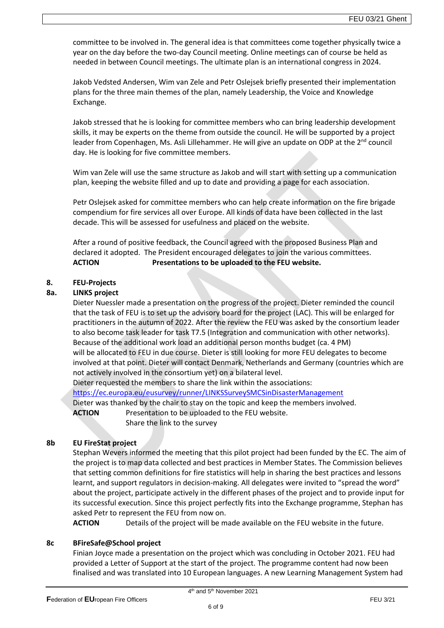committee to be involved in. The general idea is that committees come together physically twice a year on the day before the two-day Council meeting. Online meetings can of course be held as needed in between Council meetings. The ultimate plan is an international congress in 2024.

Jakob Vedsted Andersen, Wim van Zele and Petr Oslejsek briefly presented their implementation plans for the three main themes of the plan, namely Leadership, the Voice and Knowledge Exchange.

Jakob stressed that he is looking for committee members who can bring leadership development skills, it may be experts on the theme from outside the council. He will be supported by a project leader from Copenhagen, Ms. Asli Lillehammer. He will give an update on ODP at the  $2<sup>nd</sup>$  council day. He is looking for five committee members.

Wim van Zele will use the same structure as Jakob and will start with setting up a communication plan, keeping the website filled and up to date and providing a page for each association.

Petr Oslejsek asked for committee members who can help create information on the fire brigade compendium for fire services all over Europe. All kinds of data have been collected in the last decade. This will be assessed for usefulness and placed on the website.

After a round of positive feedback, the Council agreed with the proposed Business Plan and declared it adopted. The President encouraged delegates to join the various committees. **ACTION Presentations to be uploaded to the FEU website.**

# **8. FEU-Projects**

# **8a. LINKS project**

Dieter Nuessler made a presentation on the progress of the project. Dieter reminded the council that the task of FEU is to set up the advisory board for the project (LAC). This will be enlarged for practitioners in the autumn of 2022. After the review the FEU was asked by the consortium leader to also become task leader for task T7.5 (Integration and communication with other networks). Because of the additional work load an additional person months budget (ca. 4 PM) will be allocated to FEU in due course. Dieter is still looking for more FEU delegates to become involved at that point. Dieter will contact Denmark, Netherlands and Germany (countries which are not actively involved in the consortium yet) on a bilateral level.

Dieter requested the members to share the link within the associations:

<https://ec.europa.eu/eusurvey/runner/LINKSSurveySMCSinDisasterManagement>

Dieter was thanked by the chair to stay on the topic and keep the members involved.

**ACTION** Presentation to be uploaded to the FEU website.

Share the link to the survey

# **8b EU FireStat project**

Stephan Wevers informed the meeting that this pilot project had been funded by the EC. The aim of the project is to map data collected and best practices in Member States. The Commission believes that setting common definitions for fire statistics will help in sharing the best practices and lessons learnt, and support regulators in decision-making. All delegates were invited to "spread the word" about the project, participate actively in the different phases of the project and to provide input for its successful execution. Since this project perfectly fits into the Exchange programme, Stephan has asked Petr to represent the FEU from now on.

**ACTION** Details of the project will be made available on the FEU website in the future.

# **8c BFireSafe@School project**

Finian Joyce made a presentation on the project which was concluding in October 2021. FEU had provided a Letter of Support at the start of the project. The programme content had now been finalised and was translated into 10 European languages. A new Learning Management System had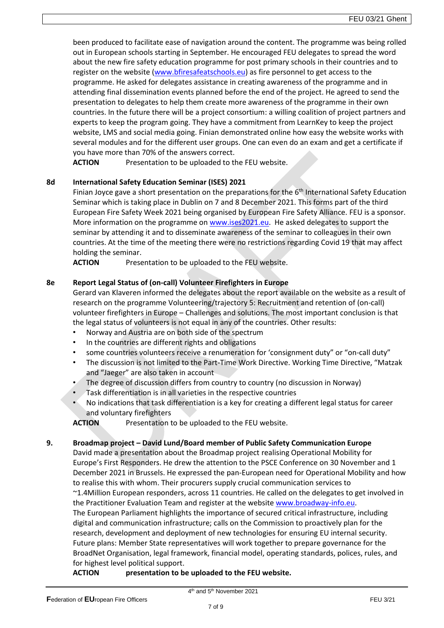been produced to facilitate ease of navigation around the content. The programme was being rolled out in European schools starting in September. He encouraged FEU delegates to spread the word about the new fire safety education programme for post primary schools in their countries and to register on the website [\(www.bfiresafeatschools.eu\)](http://www.bfiresafeatschools.eu/) as fire personnel to get access to the programme. He asked for delegates assistance in creating awareness of the programme and in attending final dissemination events planned before the end of the project. He agreed to send the presentation to delegates to help them create more awareness of the programme in their own countries. In the future there will be a project consortium: a willing coalition of project partners and experts to keep the program going. They have a commitment from LearnKey to keep the project website, LMS and social media going. Finian demonstrated online how easy the website works with several modules and for the different user groups. One can even do an exam and get a certificate if you have more than 70% of the answers correct.

**ACTION** Presentation to be uploaded to the FEU website.

# **8d International Safety Education Seminar (ISES) 2021**

Finian Joyce gave a short presentation on the preparations for the  $6<sup>th</sup>$  International Safety Education Seminar which is taking place in Dublin on 7 and 8 December 2021. This forms part of the third European Fire Safety Week 2021 being organised by European Fire Safety Alliance. FEU is a sponsor. More information on the programme on [www.ises2021.eu.](http://www.ises2021.eu/) He asked delegates to support the seminar by attending it and to disseminate awareness of the seminar to colleagues in their own countries. At the time of the meeting there were no restrictions regarding Covid 19 that may affect holding the seminar.

**ACTION** Presentation to be uploaded to the FEU website.

# **8e Report Legal Status of (on-call) Volunteer Firefighters in Europe**

Gerard van Klaveren informed the delegates about the report available on the website as a result of research on the programme Volunteering/trajectory 5: Recruitment and retention of (on-call) volunteer firefighters in Europe – Challenges and solutions. The most important conclusion is that the legal status of volunteers is not equal in any of the countries. Other results:

- Norway and Austria are on both side of the spectrum
- In the countries are different rights and obligations
- some countries volunteers receive a renumeration for 'consignment duty" or "on-call duty"
- The discussion is not limited to the Part-Time Work Directive. Working Time Directive, "Matzak and "Jaeger" are also taken in account
- The degree of discussion differs from country to country (no discussion in Norway)
- Task differentiation is in all varieties in the respective countries
- No indications that task differentiation is a key for creating a different legal status for career and voluntary firefighters

**ACTION** Presentation to be uploaded to the FEU website.

# **9. Broadmap project – David Lund/Board member of Public Safety Communication Europe**

David made a presentation about the Broadmap project realising Operational Mobility for Europe's First Responders. He drew the attention to the PSCE Conference on 30 November and 1 December 2021 in Brussels. He expressed the pan-European need for Operational Mobility and how to realise this with whom. Their procurers supply crucial communication services to ~1.4Million European responders, across 11 countries. He called on the delegates to get involved in the Practitioner Evaluation Team and register at the website [www.broadway-info.eu.](http://www.broadway-info.eu/) The European Parliament highlights the importance of secured critical infrastructure, including digital and communication infrastructure; calls on the Commission to proactively plan for the research, development and deployment of new technologies for ensuring EU internal security. Future plans: Member State representatives will work together to prepare governance for the BroadNet Organisation, legal framework, financial model, operating standards, polices, rules, and for highest level political support.

**ACTION presentation to be uploaded to the FEU website.**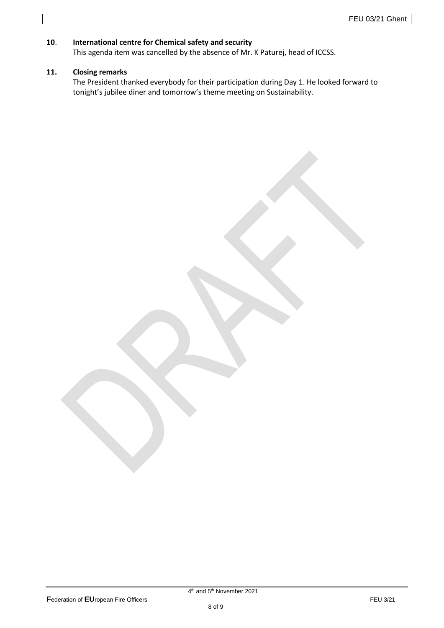# **10**. **International centre for Chemical safety and security**

This agenda item was cancelled by the absence of Mr. K Paturej, head of ICCSS.

# **11. Closing remarks**

The President thanked everybody for their participation during Day 1. He looked forward to tonight's jubilee diner and tomorrow's theme meeting on Sustainability.